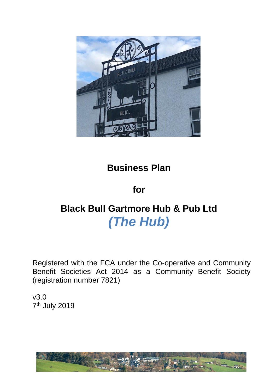

# **Business Plan**

## **for**

# **Black Bull Gartmore Hub & Pub Ltd** *(The Hub)*

Registered with the FCA under the Co-operative and Community Benefit Societies Act 2014 as a Community Benefit Society (registration number 7821)

v3.0 7<sup>th</sup> July 2019

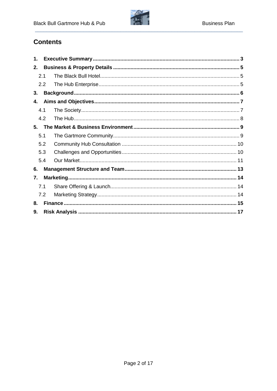

## **Contents**

| 1.  |     |  |  |
|-----|-----|--|--|
| 2.  |     |  |  |
| 2.1 |     |  |  |
|     | 2.2 |  |  |
| 3.  |     |  |  |
| 4.  |     |  |  |
|     | 4.1 |  |  |
|     | 4.2 |  |  |
| 5.  |     |  |  |
| 5.1 |     |  |  |
|     | 5.2 |  |  |
|     | 5.3 |  |  |
|     | 5.4 |  |  |
| 6.  |     |  |  |
| 7.  |     |  |  |
| 7.1 |     |  |  |
|     | 7.2 |  |  |
| 8.  |     |  |  |
| 9.  |     |  |  |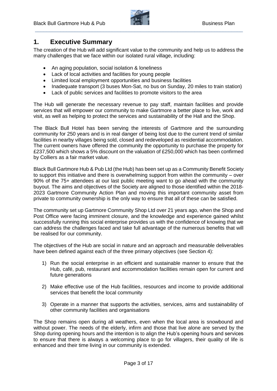

## <span id="page-2-0"></span>**1. Executive Summary**

The creation of the Hub will add significant value to the community and help us to address the many challenges that we face within our isolated rural village, including:

- An aging population, social isolation & loneliness
- Lack of local activities and facilities for young people
- Limited local employment opportunities and business facilities
- Inadequate transport (3 buses Mon-Sat, no bus on Sunday, 20 miles to train station)
- Lack of public services and facilities to promote visitors to the area

The Hub will generate the necessary revenue to pay staff, maintain facilities and provide services that will empower our community to make Gartmore a better place to live, work and visit, as well as helping to protect the services and sustainability of the Hall and the Shop.

The Black Bull Hotel has been serving the interests of Gartmore and the surrounding community for 250 years and is in real danger of being lost due to the current trend of similar facilities in nearby villages being sold, closed and redeveloped as residential accommodation. The current owners have offered the community the opportunity to purchase the property for £237,500 which shows a 5% discount on the valuation of £250,000 which has been confirmed by Colliers as a fair market value.

Black Bull Gartmore Hub & Pub Ltd (the Hub) has been set up as a Community Benefit Society to support this initiative and there is overwhelming support from within the community – over 90% of the 75+ attendees at our last public meeting want to go ahead with the community buyout. The aims and objectives of the Society are aligned to those identified within the 2018- 2023 Gartmore Community Action Plan and moving this important community asset from private to community ownership is the only way to ensure that all of these can be satisfied.

The community set up Gartmore Community Shop Ltd over 21 years ago, when the Shop and Post Office were facing imminent closure, and the knowledge and experience gained whilst successfully running this social enterprise provides us with the confidence of knowing that we can address the challenges faced and take full advantage of the numerous benefits that will be realised for our community.

The objectives of the Hub are social in nature and an approach and measurable deliverables have been defined against each of the three primary objectives (see Section 4):

- 1) Run the social enterprise in an efficient and sustainable manner to ensure that the Hub, café, pub, restaurant and accommodation facilities remain open for current and future generations
- 2) Make effective use of the Hub facilities, resources and income to provide additional services that benefit the local community
- 3) Operate in a manner that supports the activities, services, aims and sustainability of other community facilities and organisations

The Shop remains open during all weathers, even when the local area is snowbound and without power. The needs of the elderly, infirm and those that live alone are served by the Shop during opening hours and the intention is to align the Hub's opening hours and services to ensure that there is always a welcoming place to go for villagers, their quality of life is enhanced and their time living in our community is extended.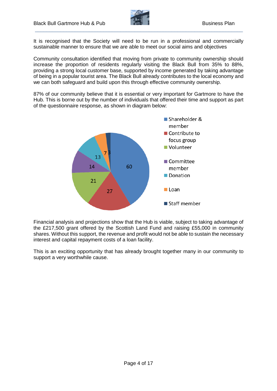

It is recognised that the Society will need to be run in a professional and commercially sustainable manner to ensure that we are able to meet our social aims and objectives

Community consultation identified that moving from private to community ownership should increase the proportion of residents regularly visiting the Black Bull from 35% to 88%, providing a strong local customer base, supported by income generated by taking advantage of being in a popular tourist area. The Black Bull already contributes to the local economy and we can both safeguard and build upon this through effective community ownership.

87% of our community believe that it is essential or very important for Gartmore to have the Hub. This is borne out by the number of individuals that offered their time and support as part of the questionnaire response, as shown in diagram below:



Financial analysis and projections show that the Hub is viable, subject to taking advantage of the £217,500 grant offered by the Scottish Land Fund and raising £55,000 in community shares. Without this support, the revenue and profit would not be able to sustain the necessary interest and capital repayment costs of a loan facility.

This is an exciting opportunity that has already brought together many in our community to support a very worthwhile cause.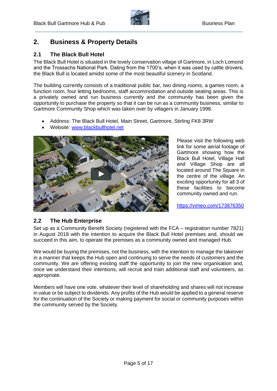

## <span id="page-4-0"></span>**2. Business & Property Details**

#### <span id="page-4-1"></span>**2.1 The Black Bull Hotel**

The Black Bull Hotel is situated in the lovely conservation village of Gartmore, in Loch Lomond and the Trossachs National Park. Dating from the 1700's, when it was used by cattle drovers, the Black Bull is located amidst some of the most beautiful scenery in Scotland.

The building currently consists of a traditional public bar, two dining rooms, a games room, a function room, four letting bedrooms, staff accommodation and outside seating areas. This is a privately owned and run business currently and the community has been given the opportunity to purchase the property so that it can be run as a community business, similar to Gartmore Community Shop which was taken over by villagers in January 1998.

- Address: The Black Bull Hotel, Main Street, Gartmore, Stirling FK8 3RW
- Website: [www.blackbullhotel.net](http://www.blackbullhotel.net/)



Please visit the following web link for some aerial footage of Gartmore showing how the Black Bull Hotel, Village Hall and Village Shop are all located around The Square in the centre of the village. An exciting opportunity for all 3 of these facilities to become community owned and run.

<https://vimeo.com/173876350>

#### <span id="page-4-2"></span>**2.2 The Hub Enterprise**

Set up as a Community Benefit Society (registered with the FCA – registration number 7821) in August 2018 with the intention to acquire the Black Bull Hotel premises and, should we succeed in this aim, to operate the premises as a community owned and managed Hub.

We would be buying the premises, not the business, with the intention to manage the takeover in a manner that keeps the Hub open and continuing to serve the needs of customers and the community. We are offering existing staff the opportunity to join the new organisation and, once we understand their intentions, will recruit and train additional staff and volunteers, as appropriate.

Members will have one vote, whatever their level of shareholding and shares will not increase in value or be subject to dividends. Any profits of the Hub would be applied to a general reserve for the continuation of the Society or making payment for social or community purposes within the community served by the Society.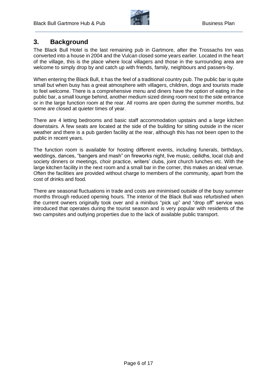

## <span id="page-5-0"></span>**3. Background**

The Black Bull Hotel is the last remaining pub in Gartmore, after the Trossachs Inn was converted into a house in 2004 and the Vulcan closed some years earlier. Located in the heart of the village, this is the place where local villagers and those in the surrounding area are welcome to simply drop by and catch up with friends, family, neighbours and passers-by.

When entering the Black Bull, it has the feel of a traditional country pub. The public bar is quite small but when busy has a great atmosphere with villagers, children, dogs and tourists made to feel welcome. There is a comprehensive menu and diners have the option of eating in the public bar, a small lounge behind, another medium sized dining room next to the side entrance or in the large function room at the rear. All rooms are open during the summer months, but some are closed at quieter times of year.

There are 4 letting bedrooms and basic staff accommodation upstairs and a large kitchen downstairs. A few seats are located at the side of the building for sitting outside in the nicer weather and there is a pub garden facility at the rear, although this has not been open to the public in recent years.

The function room is available for hosting different events, including funerals, birthdays, weddings, dances, "bangers and mash" on fireworks night, live music, ceilidhs, local club and society dinners or meetings, choir practice, writers' clubs, joint church lunches etc. With the large kitchen facility in the next room and a small bar in the corner, this makes an ideal venue. Often the facilities are provided without charge to members of the community, apart from the cost of drinks and food.

There are seasonal fluctuations in trade and costs are minimised outside of the busy summer months through reduced opening hours. The interior of the Black Bull was refurbished when the current owners originally took over and a minibus "pick up" and "drop off" service was introduced that operates during the tourist season and is very popular with residents of the two campsites and outlying properties due to the lack of available public transport.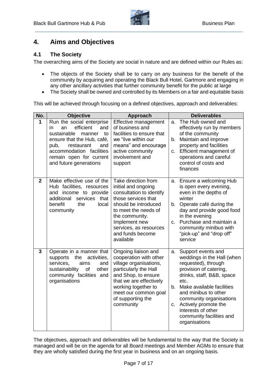

## <span id="page-6-0"></span>**4. Aims and Objectives**

#### <span id="page-6-1"></span>**4.1 The Society**

The overarching aims of the Society are social in nature and are defined within our Rules as:

- The objects of the Society shall be to carry on any business for the benefit of the community by acquiring and operating the Black Bull Hotel, Gartmore and engaging in any other ancillary activities that further community benefit for the public at large
- The Society shall be owned and controlled by its Members on a fair and equitable basis

This will be achieved through focusing on a defined objectives, approach and deliverables:

| No.          | <b>Objective</b>                                                                                                                                                                                                                      | <b>Approach</b>                                                                                                                                                                                                                             | <b>Deliverables</b>                                                                                                                                                                                                                                                                                                                 |
|--------------|---------------------------------------------------------------------------------------------------------------------------------------------------------------------------------------------------------------------------------------|---------------------------------------------------------------------------------------------------------------------------------------------------------------------------------------------------------------------------------------------|-------------------------------------------------------------------------------------------------------------------------------------------------------------------------------------------------------------------------------------------------------------------------------------------------------------------------------------|
| 1            | Run the social enterprise<br>efficient<br>and<br>an<br>in.<br>sustainable<br>manner<br>to<br>ensure that the Hub, café,<br>pub,<br>restaurant<br>and<br>accommodation facilities<br>remain open for current<br>and future generations | Effective management<br>of business and<br>facilities to ensure that<br>we "live within our<br>means" and encourage<br>active community<br>involvement and<br>support                                                                       | The Hub owned and<br>a.<br>effectively run by members<br>of the community<br>Maintain and improve<br>$b_{1}$<br>property and facilities<br>Efficient management of<br>C.<br>operations and careful<br>control of costs and<br>finances                                                                                              |
| $\mathbf{2}$ | Make effective use of the<br>Hub facilities, resources<br>and income to provide<br>additional<br>services that<br>benefit<br>the<br>local<br>community                                                                                | Take direction from<br>initial and ongoing<br>consultation to identify<br>those services that<br>should be introduced<br>to meet the needs of<br>the community.<br>Implement new<br>services, as resources<br>and funds become<br>available | a. Ensure a welcoming Hub<br>is open every evening,<br>even in the depths of<br>winter<br>Operate café during the<br>b.<br>day and provide good food<br>in the evening<br>Purchase and maintain a<br>C.<br>community minibus with<br>"pick-up" and "drop off"<br>service                                                            |
| 3            | Operate in a manner that<br>the<br>supports<br>activities,<br>services,<br>aims<br>and<br>sustainability<br>of<br>other<br>community facilities and<br>organisations                                                                  | Ongoing liaison and<br>cooperation with other<br>village organisations,<br>particularly the Hall<br>and Shop, to ensure<br>that we are effectively<br>working together to<br>meet our common goal<br>of supporting the<br>community         | Support events and<br>a.<br>weddings in the Hall (when<br>requested), through<br>provision of catering,<br>drinks, staff, B&B, space<br>etc.<br>Make available facilities<br>b.<br>and minibus to other<br>community organisations<br>Actively promote the<br>C.<br>interests of other<br>community facilities and<br>organisations |

The objectives, approach and deliverables will be fundamental to the way that the Society is managed and will be on the agenda for all Board meetings and Member AGMs to ensure that they are wholly satisfied during the first year in business and on an ongoing basis.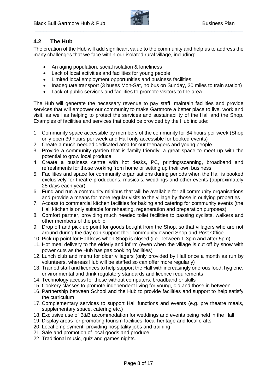

#### <span id="page-7-0"></span>**4.2 The Hub**

The creation of the Hub will add significant value to the community and help us to address the many challenges that we face within our isolated rural village, including:

- An aging population, social isolation & loneliness
- Lack of local activities and facilities for young people
- Limited local employment opportunities and business facilities
- Inadequate transport (3 buses Mon-Sat, no bus on Sunday, 20 miles to train station)
- Lack of public services and facilities to promote visitors to the area

The Hub will generate the necessary revenue to pay staff, maintain facilities and provide services that will empower our community to make Gartmore a better place to live, work and visit, as well as helping to protect the services and sustainability of the Hall and the Shop. Examples of facilities and services that could be provided by the Hub include:

- 1. Community space accessible by members of the community for 84 hours per week (Shop only open 39 hours per week and Hall only accessible for booked events)
- 2. Create a much-needed dedicated area for our teenagers and young people
- 3. Provide a community garden that is family friendly, a great space to meet up with the potential to grow local produce
- 4. Create a business centre with hot desks, PC, printing/scanning, broadband and refreshments for those working from home or setting up their own business
- 5. Facilities and space for community organisations during periods when the Hall is booked exclusively for theatre productions, musicals, weddings and other events (approximately 25 days each year)
- 6. Fund and run a community minibus that will be available for all community organisations and provide a means for more regular visits to the village by those in outlying properties
- 7. Access to commercial kitchen facilities for baking and catering for community events (the Hall kitchen is only suitable for reheating, regeneration and preparation purposes)
- 8. Comfort partner, providing much needed toilet facilities to passing cyclists, walkers and other members of the public
- 9. Drop off and pick up point for goods bought from the Shop, so that villagers who are not around during the day can support their community owned Shop and Post Office
- 10. Pick up point for Hall keys when Shop is closed (i.e. between 1-3pm and after 5pm)
- 11. Hot meal delivery to the elderly and infirm (even when the village is cut off by snow with power cuts as the Hub has gas cooking facilities)
- 12. Lunch club and menu for older villagers (only provided by Hall once a month as run by volunteers, whereas Hub will be staffed so can offer more regularly)
- 13. Trained staff and licences to help support the Hall with increasingly onerous food, hygiene, environmental and drink regulatory standards and licence requirements
- 14. Technology access for those without computers, broadband or skills
- 15. Cookery classes to promote independent living for young, old and those in between
- 16. Partnership between School and the Hub to provide facilities and support to help satisfy the curriculum
- 17. Complementary services to support Hall functions and events (e.g. pre theatre meals, supplementary space, catering etc.)
- 18. Exclusive use of B&B accommodation for weddings and events being held in the Hall
- 19. Display areas for promoting tourism facilities, local heritage and local crafts
- 20. Local employment, providing hospitality jobs and training
- 21. Sale and promotion of local goods and produce
- 22. Traditional music, quiz and games nights.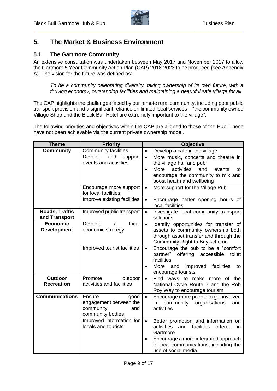

## <span id="page-8-0"></span>**5. The Market & Business Environment**

#### <span id="page-8-1"></span>**5.1 The Gartmore Community**

An extensive consultation was undertaken between May 2017 and November 2017 to allow the Gartmore 5 Year Community Action Plan (CAP) 2018-2023 to be produced (see Appendix A). The vision for the future was defined as:

*To be a community celebrating diversity, taking ownership of its own future, with a thriving economy, outstanding facilities and maintaining a beautiful safe village for all*

The CAP highlights the challenges faced by our remote rural community, including poor public transport provision and a significant reliance on limited local services – "the community owned Village Shop and the Black Bull Hotel are extremely important to the village".

The following priorities and objectives within the CAP are aligned to those of the Hub. These have not been achievable via the current private ownership model.

| <b>Theme</b>                    | <b>Priority</b>                                | <b>Objective</b>                                                               |
|---------------------------------|------------------------------------------------|--------------------------------------------------------------------------------|
| <b>Community</b>                | <b>Community facilities</b>                    | Develop a café in the village<br>$\bullet$                                     |
|                                 | Develop<br>and<br>support                      | More music, concerts and theatre in<br>$\bullet$                               |
|                                 | events and activities                          | the village hall and pub                                                       |
|                                 |                                                | More<br>activities<br>and<br>events<br>to<br>$\bullet$                         |
|                                 |                                                | encourage the community to mix and                                             |
|                                 |                                                | boost health and wellbeing                                                     |
|                                 | Encourage more support<br>for local facilities | More support for the Village Pub<br>$\bullet$                                  |
|                                 | Improve existing facilities                    | Encourage better opening hours of<br>$\bullet$<br>local facilities             |
| Roads, Traffic<br>and Transport | Improved public transport                      | Investigate local community transport<br>$\bullet$<br>solutions                |
| <b>Economic</b>                 | Develop<br>local<br>a                          | Identify opportunities for transfer of<br>$\bullet$                            |
| <b>Development</b>              | economic strategy                              | assets to community ownership both                                             |
|                                 |                                                | through asset transfer and through the<br>Community Right to Buy scheme        |
|                                 | Improved tourist facilities                    | Encourage the pub to be a "comfort"<br>$\bullet$                               |
|                                 |                                                | partner" offering accessible<br>toilet<br>facilities                           |
|                                 |                                                | More<br>improved<br>facilities<br>and<br>to<br>$\bullet$<br>encourage tourists |
| Outdoor                         | Promote<br>outdoor                             | Find ways to make more of the<br>$\bullet$                                     |
| <b>Recreation</b>               | activities and facilities                      | National Cycle Route 7 and the Rob<br>Roy Way to encourage tourism             |
| <b>Communications</b>           | <b>Ensure</b><br>good                          | Encourage more people to get involved<br>$\bullet$                             |
|                                 | engagement between the                         | community organisations<br>in<br>and                                           |
|                                 | community<br>and                               | activities                                                                     |
|                                 | community bodies                               |                                                                                |
|                                 | Improved information for                       | Better promotion and information on<br>$\bullet$                               |
|                                 | locals and tourists                            | activities<br>and<br>facilities<br>offered<br>in<br>Gartmore                   |
|                                 |                                                | Encourage a more integrated approach<br>$\bullet$                              |
|                                 |                                                | to local communications, including the<br>use of social media                  |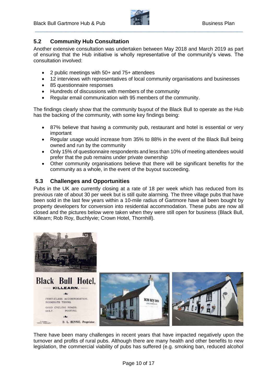

#### <span id="page-9-0"></span>**5.2 Community Hub Consultation**

Another extensive consultation was undertaken between May 2018 and March 2019 as part of ensuring that the Hub initiative is wholly representative of the community's views. The consultation involved:

- 2 public meetings with 50+ and 75+ attendees
- 12 interviews with representatives of local community organisations and businesses
- 85 questionnaire responses
- Hundreds of discussions with members of the community
- Regular email communication with 95 members of the community.

The findings clearly show that the community buyout of the Black Bull to operate as the Hub has the backing of the community, with some key findings being:

- 87% believe that having a community pub, restaurant and hotel is essential or very important
- Regular usage would increase from 35% to 88% in the event of the Black Bull being owned and run by the community
- Only 15% of questionnaire respondents and less than 10% of meeting attendees would prefer that the pub remains under private ownership
- Other community organisations believe that there will be significant benefits for the community as a whole, in the event of the buyout succeeding.

#### <span id="page-9-1"></span>**5.3 Challenges and Opportunities**

Pubs in the UK are currently closing at a rate of 18 per week which has reduced from its previous rate of about 30 per week but is still quite alarming. The three village pubs that have been sold in the last few years within a 10-mile radius of Gartmore have all been bought by property developers for conversion into residential accommodation. These pubs are now all closed and the pictures below were taken when they were still open for business (Black Bull, Killearn; Rob Roy, Buchlyvie; Crown Hotel, Thornhill).



There have been many challenges in recent years that have impacted negatively upon the turnover and profits of rural pubs. Although there are many health and other benefits to new legislation, the commercial viability of pubs has suffered (e.g. smoking ban, reduced alcohol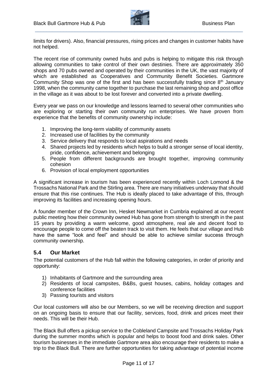

limits for drivers). Also, financial pressures, rising prices and changes in customer habits have not helped.

The recent rise of community owned hubs and pubs is helping to mitigate this risk through allowing communities to take control of their own destinies. There are approximately 350 shops and 70 pubs owned and operated by their communities in the UK, the vast majority of which are established as Cooperatives and Community Benefit Societies. Gartmore Community Shop was one of the first and has been successfully trading since  $8<sup>th</sup>$  January 1998, when the community came together to purchase the last remaining shop and post office in the village as it was about to be lost forever and converted into a private dwelling.

Every year we pass on our knowledge and lessons learned to several other communities who are exploring or starting their own community run enterprises. We have proven from experience that the benefits of community ownership include:

- 1. Improving the long-term viability of community assets
- 2. Increased use of facilities by the community
- 3. Service delivery that responds to local aspirations and needs
- 4. Shared projects led by residents which helps to build a stronger sense of local identity, pride, confidence, achievement and belonging
- 5. People from different backgrounds are brought together, improving community cohesion
- 6. Provision of local employment opportunities

A significant increase in tourism has been experienced recently within Loch Lomond & the Trossachs National Park and the Stirling area. There are many initiatives underway that should ensure that this rise continues. The Hub is ideally placed to take advantage of this, through improving its facilities and increasing opening hours.

A founder member of the Crown Inn, Hesket Newmarket in Cumbria explained at our recent public meeting how their community owned Hub has gone from strength to strength in the past 15 years by providing a warm welcome, good atmosphere, real ale and decent food to encourage people to come off the beaten track to visit them. He feels that our village and Hub have the same "look and feel" and should be able to achieve similar success through community ownership.

#### <span id="page-10-0"></span>**5.4 Our Market**

The potential customers of the Hub fall within the following categories, in order of priority and opportunity:

- 1) Inhabitants of Gartmore and the surrounding area
- 2) Residents of local campsites, B&Bs, guest houses, cabins, holiday cottages and conference facilities
- 3) Passing tourists and visitors

Our local customers will also be our Members, so we will be receiving direction and support on an ongoing basis to ensure that our facility, services, food, drink and prices meet their needs. This will be their Hub.

The Black Bull offers a pickup service to the Cobleland Campsite and Trossachs Holiday Park during the summer months which is popular and helps to boost food and drink sales. Other tourism businesses in the immediate Gartmore area also encourage their residents to make a trip to the Black Bull. There are further opportunities for taking advantage of potential income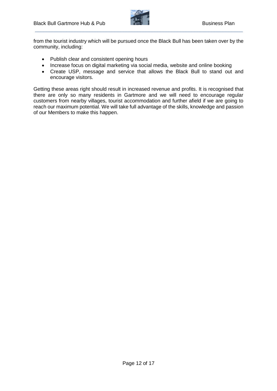

from the tourist industry which will be pursued once the Black Bull has been taken over by the community, including:

- Publish clear and consistent opening hours
- Increase focus on digital marketing via social media, website and online booking
- Create USP, message and service that allows the Black Bull to stand out and encourage visitors.

Getting these areas right should result in increased revenue and profits. It is recognised that there are only so many residents in Gartmore and we will need to encourage regular customers from nearby villages, tourist accommodation and further afield if we are going to reach our maximum potential. We will take full advantage of the skills, knowledge and passion of our Members to make this happen.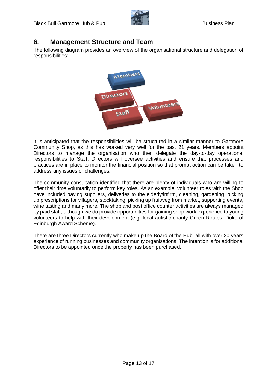

## <span id="page-12-0"></span>**6. Management Structure and Team**

The following diagram provides an overview of the organisational structure and delegation of responsibilities:



It is anticipated that the responsibilities will be structured in a similar manner to Gartmore Community Shop, as this has worked very well for the past 21 years. Members appoint Directors to manage the organisation who then delegate the day-to-day operational responsibilities to Staff. Directors will oversee activities and ensure that processes and practices are in place to monitor the financial position so that prompt action can be taken to address any issues or challenges.

The community consultation identified that there are plenty of individuals who are willing to offer their time voluntarily to perform key roles. As an example, volunteer roles with the Shop have included paying suppliers, deliveries to the elderly/infirm, cleaning, gardening, picking up prescriptions for villagers, stocktaking, picking up fruit/veg from market, supporting events, wine tasting and many more. The shop and post office counter activities are always managed by paid staff, although we do provide opportunities for gaining shop work experience to young volunteers to help with their development (e.g. local autistic charity Green Routes, Duke of Edinburgh Award Scheme).

There are three Directors currently who make up the Board of the Hub, all with over 20 years experience of running businesses and community organisations. The intention is for additional Directors to be appointed once the property has been purchased.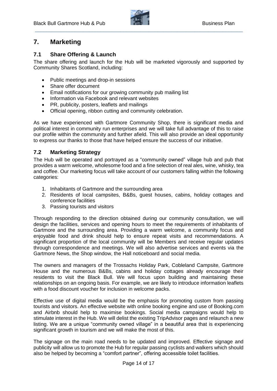

## <span id="page-13-0"></span>**7. Marketing**

#### <span id="page-13-1"></span>**7.1 Share Offering & Launch**

The share offering and launch for the Hub will be marketed vigorously and supported by Community Shares Scotland, including:

- Public meetings and drop-in sessions
- Share offer document
- Email notifications for our growing community pub mailing list
- Information via Facebook and relevant websites
- PR, publicity, posters, leaflets and mailings
- Official opening, ribbon cutting and community celebration.

As we have experienced with Gartmore Community Shop, there is significant media and political interest in community run enterprises and we will take full advantage of this to raise our profile within the community and further afield. This will also provide an ideal opportunity to express our thanks to those that have helped ensure the success of our initiative.

#### <span id="page-13-2"></span>**7.2 Marketing Strategy**

The Hub will be operated and portrayed as a "community owned" village hub and pub that provides a warm welcome, wholesome food and a fine selection of real ales, wine, whisky, tea and coffee. Our marketing focus will take account of our customers falling within the following categories:

- 1. Inhabitants of Gartmore and the surrounding area
- 2. Residents of local campsites, B&Bs, guest houses, cabins, holiday cottages and conference facilities
- 3. Passing tourists and visitors

Through responding to the direction obtained during our community consultation, we will design the facilities, services and opening hours to meet the requirements of inhabitants of Gartmore and the surrounding area. Providing a warm welcome, a community focus and enjoyable food and drink should help to ensure repeat visits and recommendations. A significant proportion of the local community will be Members and receive regular updates through correspondence and meetings. We will also advertise services and events via the Gartmore News, the Shop window, the Hall noticeboard and social media.

The owners and managers of the Trossachs Holiday Park, Cobleland Campsite, Gartmore House and the numerous B&Bs, cabins and holiday cottages already encourage their residents to visit the Black Bull. We will focus upon building and maintaining these relationships on an ongoing basis. For example, we are likely to introduce information leaflets with a food discount voucher for inclusion in welcome packs.

Effective use of digital media would be the emphasis for promoting custom from passing tourists and visitors. An effective website with online booking engine and use of Booking.com and Airbnb should help to maximise bookings. Social media campaigns would help to stimulate interest in the Hub. We will delist the existing TripAdvisor pages and relaunch a new listing. We are a unique "community owned village" in a beautiful area that is experiencing significant growth in tourism and we will make the most of this.

The signage on the main road needs to be updated and improved. Effective signage and publicity will allow us to promote the Hub for regular passing cyclists and walkers which should also be helped by becoming a "comfort partner", offering accessible toilet facilities.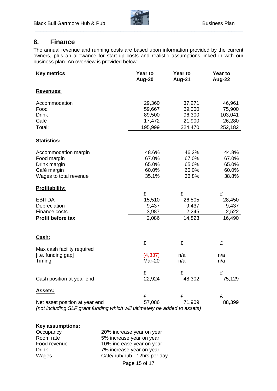

### <span id="page-14-0"></span>**8. Finance**

The annual revenue and running costs are based upon information provided by the current owners, plus an allowance for start-up costs and realistic assumptions linked in with our business plan. An overview is provided below:

| <b>Key metrics</b>                                                                                           | <b>Year to</b><br>Aug-20 | Year to<br>Aug-21 | Year to<br>Aug-22 |
|--------------------------------------------------------------------------------------------------------------|--------------------------|-------------------|-------------------|
| <b>Revenues:</b>                                                                                             |                          |                   |                   |
| Accommodation                                                                                                | 29,360                   | 37,271            | 46,961            |
| Food                                                                                                         | 59,667                   | 69,000            | 75,900            |
| <b>Drink</b>                                                                                                 | 89,500                   | 96,300            | 103,041           |
| Café                                                                                                         | 17,472                   | 21,900            | 26,280            |
| Total:                                                                                                       | 195,999                  | 224,470           | 252,182           |
| <b>Statistics:</b>                                                                                           |                          |                   |                   |
| Accommodation margin                                                                                         | 48.6%                    | 46.2%             | 44.8%             |
| Food margin                                                                                                  | 67.0%                    | 67.0%             | 67.0%             |
| Drink margin                                                                                                 | 65.0%                    | 65.0%             | 65.0%             |
| Café margin                                                                                                  | 60.0%                    | 60.0%             | 60.0%             |
| Wages to total revenue                                                                                       | 35.1%                    | 36.8%             | 38.8%             |
| Profitability:                                                                                               |                          |                   |                   |
|                                                                                                              | £                        | £                 | £                 |
| <b>EBITDA</b>                                                                                                | 15,510                   | 26,505            | 28,450            |
| Depreciation                                                                                                 | 9,437                    | 9,437             | 9,437             |
| Finance costs                                                                                                | 3,987                    | 2,245             | 2,522             |
| Profit before tax                                                                                            | 2,086                    | 14,823            | 16,490            |
|                                                                                                              |                          |                   |                   |
| Cash:                                                                                                        |                          |                   |                   |
|                                                                                                              | £                        | £                 | £                 |
| Max cash facility required                                                                                   |                          |                   |                   |
| [i.e. funding gap]                                                                                           | (4, 337)                 | n/a               | n/a               |
| Timing                                                                                                       | Mar-20                   | n/a               | n/a               |
|                                                                                                              | £                        | £                 | £                 |
| Cash position at year end                                                                                    | 22,924                   | 48,302            | 75,129            |
| <b>Assets:</b>                                                                                               |                          |                   |                   |
|                                                                                                              | £                        | £                 | £                 |
| Net asset position at year end<br>(not including SLF grant funding which will ultimately be added to assets) | 57,086                   | 71,909            | 88,399            |

#### **Key assumptions:**

| Occupancy    | 20% increase year on year    |
|--------------|------------------------------|
| Room rate    | 5% increase year on year     |
| Food revenue | 10% increase year on year    |
| <b>Drink</b> | 7% increase year on year     |
| Wages        | Café/hub/pub - 12hrs per day |
|              | Page 15 of 17                |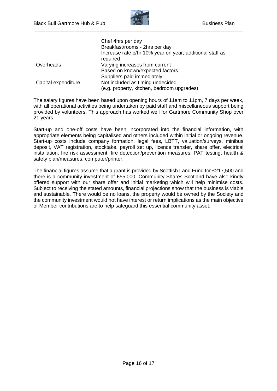

|                     | Chef 4hrs per day                                                    |
|---------------------|----------------------------------------------------------------------|
|                     | Breakfast/rooms - 2hrs per day                                       |
|                     | Increase rate p/hr 10% year on year; additional staff as<br>required |
| Overheads           | Varying increases from current                                       |
|                     | Based on known/expected factors                                      |
|                     | Suppliers paid immediately                                           |
| Capital expenditure | Not included as timing undecided                                     |
|                     | (e.g. property, kitchen, bedroom upgrades)                           |

The salary figures have been based upon opening hours of 11am to 11pm, 7 days per week, with all operational activities being undertaken by paid staff and miscellaneous support being provided by volunteers. This approach has worked well for Gartmore Community Shop over 21 years.

Start-up and one-off costs have been incorporated into the financial information, with appropriate elements being capitalised and others included within initial or ongoing revenue. Start-up costs include company formation, legal fees, LBTT, valuation/surveys, minibus deposit, VAT registration, stocktake, payroll set up, licence transfer, share offer, electrical installation, fire risk assessment, fire detection/prevention measures, PAT testing, health & safety plan/measures, computer/printer.

The financial figures assume that a grant is provided by Scottish Land Fund for £217,500 and there is a community investment of £55,000. Community Shares Scotland have also kindly offered support with our share offer and initial marketing which will help minimise costs. Subject to receiving the stated amounts, financial projections show that the business is viable and sustainable. There would be no loans, the property would be owned by the Society and the community investment would not have interest or return implications as the main objective of Member contributions are to help safeguard this essential community asset.